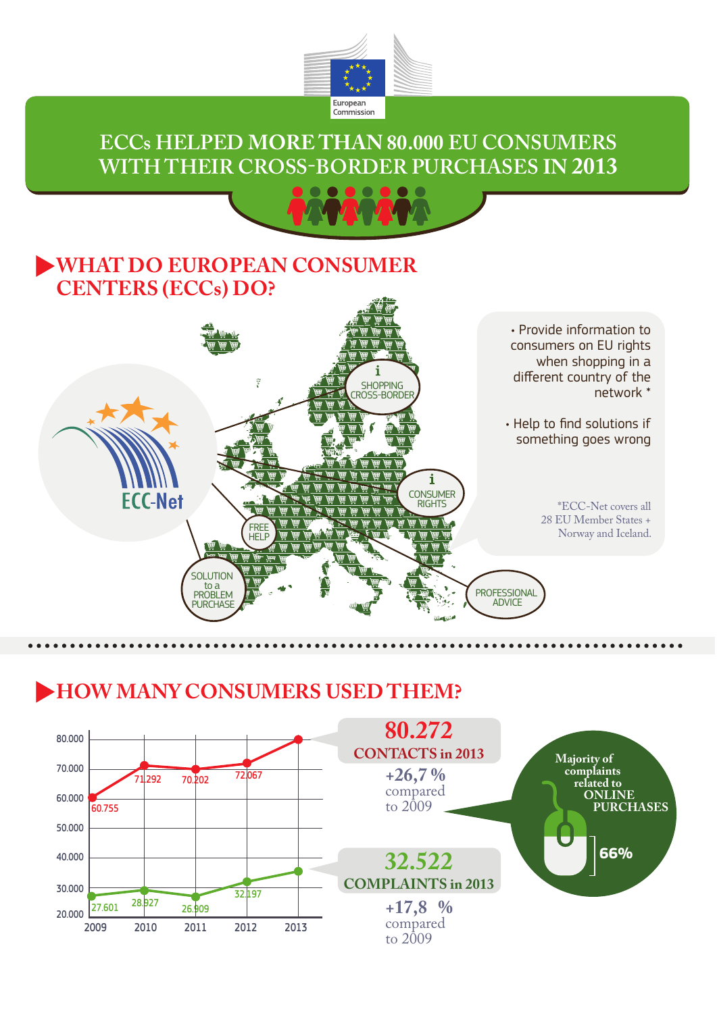

#### **ECCs HELPED MORE THAN 80.000 EU CONSUMERS WITH THEIR CROSS-BORDER PURCHASES IN 2013**



#### **WHAT DO EUROPEAN CONSUMER CENTERS (ECCs) DO?**



### **HOW MANY CONSUMERS USED THEM?**